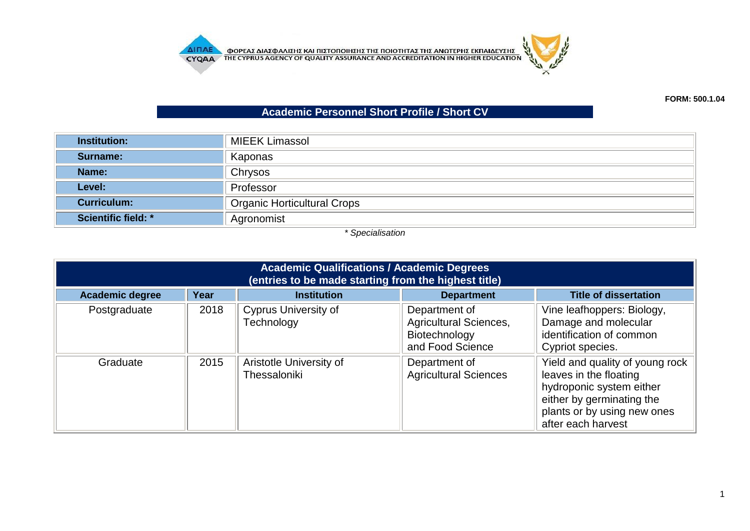**AITIAE OPEAE AIAE DATE KAI TILETOTOIHE E THE TOIOTHTAE THE ANOTEPHE EKTIAIAEYEHE CYQA A** THE CYPRUS AGENCY OF QUALITY ASSURANCE AND ACCREDITATION IN HIGHER EDUCATION



## **Academic Personnel Short Profile / Short CV**

| <b>Institution:</b>        | <b>MIEEK Limassol</b>              |  |
|----------------------------|------------------------------------|--|
| Surname:                   | Kaponas                            |  |
| Name:                      | Chrysos                            |  |
| Level:                     | Professor                          |  |
| <b>Curriculum:</b>         | <b>Organic Horticultural Crops</b> |  |
| <b>Scientific field: *</b> | Agronomist                         |  |

*\* Specialisation*

| <b>Academic Qualifications / Academic Degrees</b><br>(entries to be made starting from the highest title) |      |                                           |                                                                                     |                                                                                                                                                                         |  |
|-----------------------------------------------------------------------------------------------------------|------|-------------------------------------------|-------------------------------------------------------------------------------------|-------------------------------------------------------------------------------------------------------------------------------------------------------------------------|--|
| <b>Academic degree</b>                                                                                    | Year | <b>Institution</b>                        | <b>Department</b>                                                                   | <b>Title of dissertation</b>                                                                                                                                            |  |
| Postgraduate                                                                                              | 2018 | <b>Cyprus University of</b><br>Technology | Department of<br><b>Agricultural Sciences,</b><br>Biotechnology<br>and Food Science | Vine leafhoppers: Biology,<br>Damage and molecular<br>identification of common<br>Cypriot species.                                                                      |  |
| Graduate                                                                                                  | 2015 | Aristotle University of<br>Thessaloniki   | Department of<br><b>Agricultural Sciences</b>                                       | Yield and quality of young rock<br>leaves in the floating<br>hydroponic system either<br>either by germinating the<br>plants or by using new ones<br>after each harvest |  |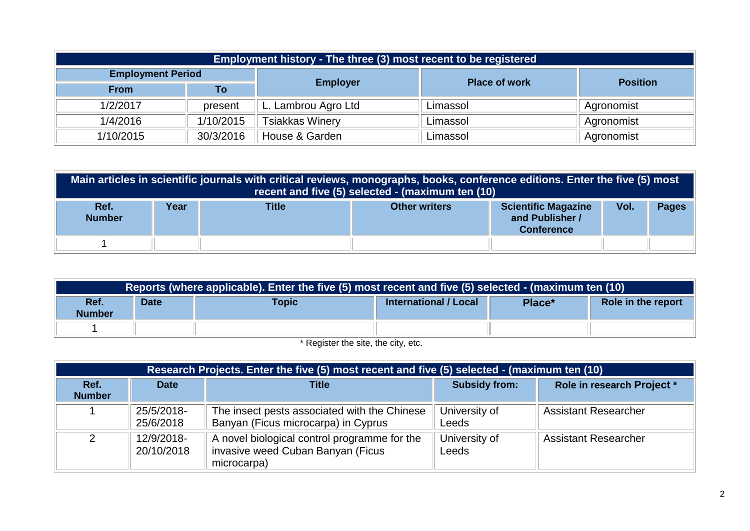| Employment history - The three (3) most recent to be registered |           |                        |                      |                 |  |  |
|-----------------------------------------------------------------|-----------|------------------------|----------------------|-----------------|--|--|
| <b>Employment Period</b>                                        |           |                        | <b>Place of work</b> |                 |  |  |
| <b>From</b>                                                     | То        | <b>Employer</b>        |                      | <b>Position</b> |  |  |
| 1/2/2017                                                        | present   | L. Lambrou Agro Ltd    | Limassol             | Agronomist      |  |  |
| 1/4/2016                                                        | 1/10/2015 | <b>Tsiakkas Winery</b> | Limassol             | Agronomist      |  |  |
| 1/10/2015                                                       | 30/3/2016 | House & Garden         | Limassol             | Agronomist      |  |  |

|                       | Main articles in scientific journals with critical reviews, monographs, books, conference editions. Enter the five (5) most<br>recent and five (5) selected - (maximum ten (10) |       |                      |                                                                    |      |              |
|-----------------------|---------------------------------------------------------------------------------------------------------------------------------------------------------------------------------|-------|----------------------|--------------------------------------------------------------------|------|--------------|
| Ref.<br><b>Number</b> | Year                                                                                                                                                                            | Title | <b>Other writers</b> | <b>Scientific Magazine</b><br>and Publisher /<br><b>Conference</b> | Vol. | <b>Pages</b> |
|                       |                                                                                                                                                                                 |       |                      |                                                                    |      |              |

| Reports (where applicable). Enter the five (5) most recent and five (5) selected - (maximum ten (10) |             |       |                       |        |                    |
|------------------------------------------------------------------------------------------------------|-------------|-------|-----------------------|--------|--------------------|
| Ref.<br><b>Number</b>                                                                                | <b>Date</b> | Topic | International / Local | Place* | Role in the report |
|                                                                                                      |             |       |                       |        |                    |

\* Register the site, the city, etc.

| Research Projects. Enter the five (5) most recent and five (5) selected - (maximum ten (10) |                          |                                                                                                  |                        |                             |  |  |
|---------------------------------------------------------------------------------------------|--------------------------|--------------------------------------------------------------------------------------------------|------------------------|-----------------------------|--|--|
| Ref.<br><b>Number</b>                                                                       | <b>Date</b>              | <b>Title</b>                                                                                     | <b>Subsidy from:</b>   | Role in research Project *  |  |  |
|                                                                                             | 25/5/2018-<br>25/6/2018  | The insect pests associated with the Chinese<br>Banyan (Ficus microcarpa) in Cyprus              | University of<br>Leeds | <b>Assistant Researcher</b> |  |  |
|                                                                                             | 12/9/2018-<br>20/10/2018 | A novel biological control programme for the<br>invasive weed Cuban Banyan (Ficus<br>microcarpa) | University of<br>Leeds | <b>Assistant Researcher</b> |  |  |